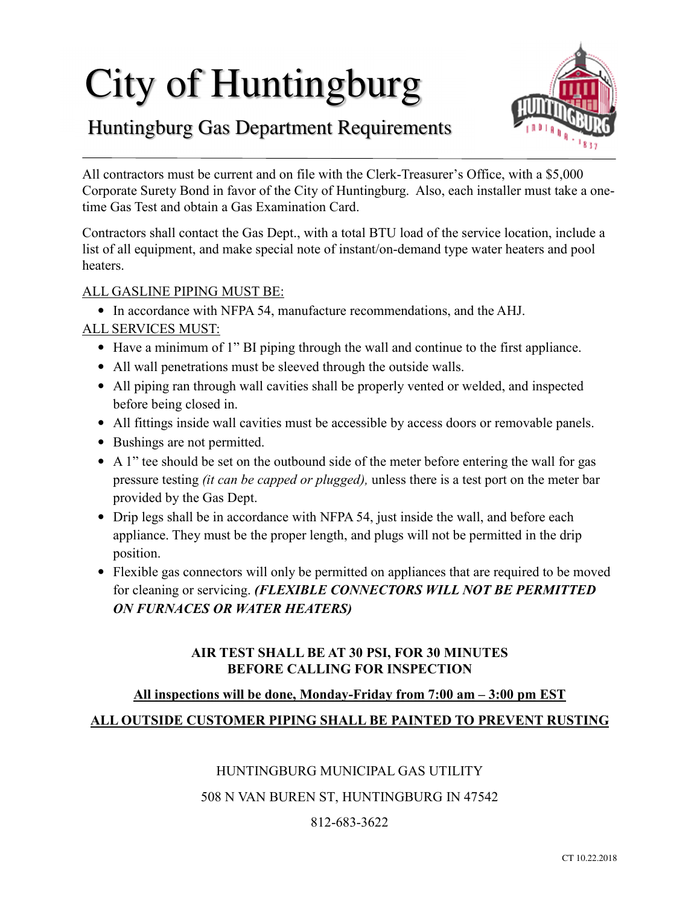# City of Huntingburg



# Huntingburg Gas Department Requirements

All contractors must be current and on file with the Clerk-Treasurer's Office, with a \$5,000 Corporate Surety Bond in favor of the City of Huntingburg. Also, each installer must take a onetime Gas Test and obtain a Gas Examination Card.

Contractors shall contact the Gas Dept., with a total BTU load of the service location, include a list of all equipment, and make special note of instant/on-demand type water heaters and pool heaters.

## ALL GASLINE PIPING MUST BE:

• In accordance with NFPA 54, manufacture recommendations, and the AHJ.

## ALL SERVICES MUST:

- Have a minimum of 1" BI piping through the wall and continue to the first appliance.
- All wall penetrations must be sleeved through the outside walls.
- All piping ran through wall cavities shall be properly vented or welded, and inspected before being closed in.
- All fittings inside wall cavities must be accessible by access doors or removable panels.
- Bushings are not permitted.
- A 1" tee should be set on the outbound side of the meter before entering the wall for gas pressure testing *(it can be capped or plugged),* unless there is a test port on the meter bar provided by the Gas Dept.
- Drip legs shall be in accordance with NFPA 54, just inside the wall, and before each appliance. They must be the proper length, and plugs will not be permitted in the drip position.
- Flexible gas connectors will only be permitted on appliances that are required to be moved for cleaning or servicing. *(FLEXIBLE CONNECTORS WILL NOT BE PERMITTED ON FURNACES OR WATER HEATERS)*

#### **AIR TEST SHALL BE AT 30 PSI, FOR 30 MINUTES BEFORE CALLING FOR INSPECTION**

# **All inspections will be done, Monday-Friday from 7:00 am – 3:00 pm EST**

## **ALL OUTSIDE CUSTOMER PIPING SHALL BE PAINTED TO PREVENT RUSTING**

#### HUNTINGBURG MUNICIPAL GAS UTILITY

#### 508 N VAN BUREN ST, HUNTINGBURG IN 47542

#### 812-683-3622